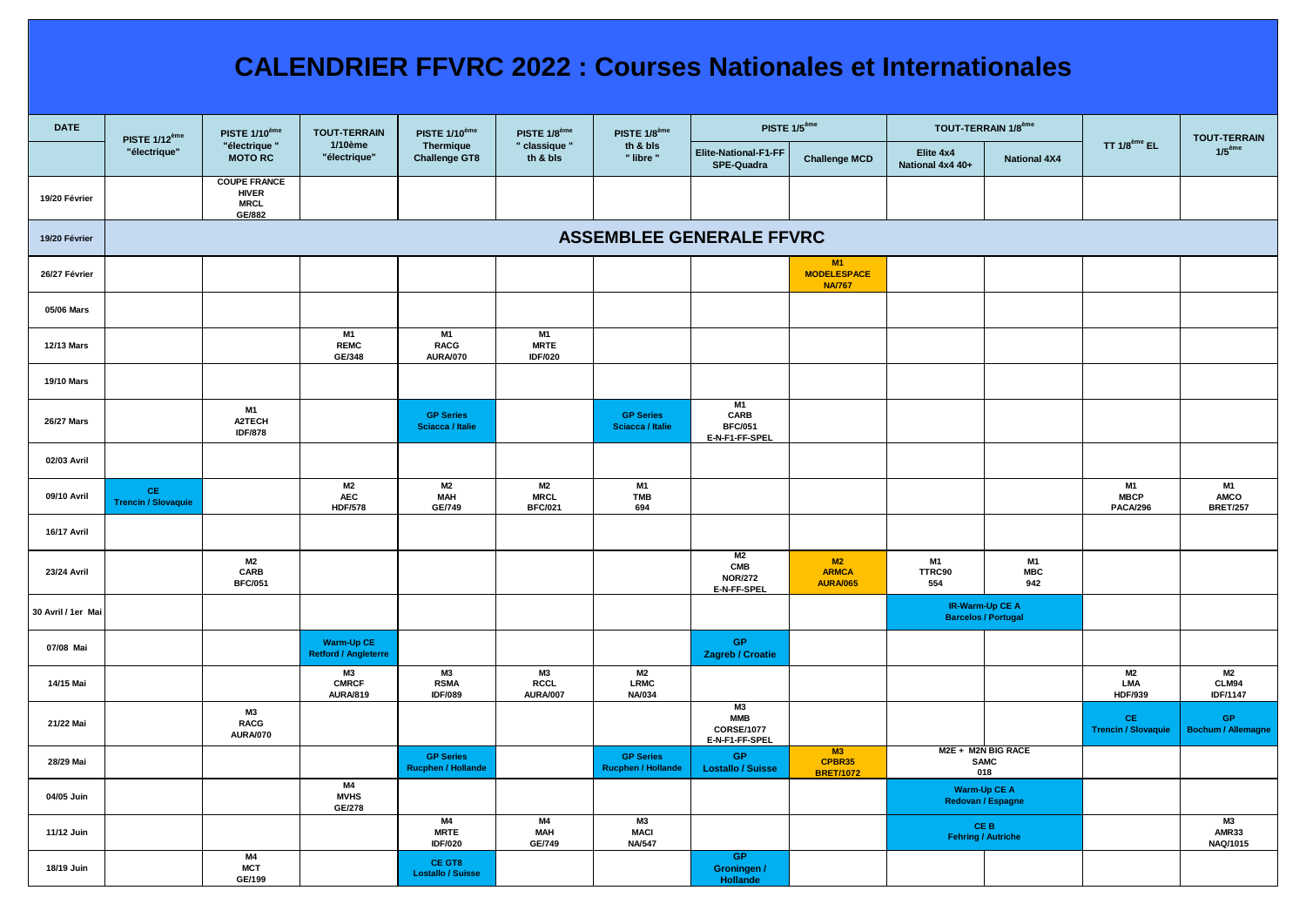## **CALENDRIER FFVRC 2022 : Courses Nationales et Internationales**

| <b>DATE</b>        | <b>PISTE 1/12<sup>ème</sup></b><br>"électrique" | PISTE 1/10 <sup>ème</sup><br>"électrique"<br><b>MOTORC</b>   | <b>TOUT-TERRAIN</b><br>1/10ème<br>"électrique" | PISTE 1/10 <sup>ème</sup><br>Thermique<br><b>Challenge GT8</b> | PISTE 1/8 <sup>ème</sup><br>" classique "<br>th & bls | PISTE 1/8 <sup>ème</sup><br>th & bls<br>" libre " | PISTE 1/5 <sup>ème</sup>                                |                                           | TOUT-TERRAIN 1/8 <sup>ème</sup>               |                         |                                             | <b>TOUT-TERRAIN</b>             |
|--------------------|-------------------------------------------------|--------------------------------------------------------------|------------------------------------------------|----------------------------------------------------------------|-------------------------------------------------------|---------------------------------------------------|---------------------------------------------------------|-------------------------------------------|-----------------------------------------------|-------------------------|---------------------------------------------|---------------------------------|
|                    |                                                 |                                                              |                                                |                                                                |                                                       |                                                   | Elite-National-F1-FF<br>SPE-Quadra                      | <b>Challenge MCD</b>                      | Elite 4x4<br>National 4x4 40+                 | <b>National 4X4</b>     | TT $1/8^{\text{ème}}$ EL                    | 1/5 <sup>ème</sup>              |
| 19/20 Février      |                                                 | <b>COUPE FRANCE</b><br><b>HIVER</b><br><b>MRCL</b><br>GE/882 |                                                |                                                                |                                                       |                                                   |                                                         |                                           |                                               |                         |                                             |                                 |
| 19/20 Février      | <b>ASSEMBLEE GENERALE FFVRC</b>                 |                                                              |                                                |                                                                |                                                       |                                                   |                                                         |                                           |                                               |                         |                                             |                                 |
| 26/27 Février      |                                                 |                                                              |                                                |                                                                |                                                       |                                                   |                                                         | M1<br><b>MODELESPACE</b><br><b>NA/767</b> |                                               |                         |                                             |                                 |
| 05/06 Mars         |                                                 |                                                              |                                                |                                                                |                                                       |                                                   |                                                         |                                           |                                               |                         |                                             |                                 |
| 12/13 Mars         |                                                 |                                                              | <b>M1</b><br><b>REMC</b><br>GE/348             | <b>M1</b><br><b>RACG</b><br><b>AURA/070</b>                    | M1<br><b>MRTE</b><br><b>IDF/020</b>                   |                                                   |                                                         |                                           |                                               |                         |                                             |                                 |
| <b>19/10 Mars</b>  |                                                 |                                                              |                                                |                                                                |                                                       |                                                   |                                                         |                                           |                                               |                         |                                             |                                 |
| 26/27 Mars         |                                                 | M1<br>A2TECH<br><b>IDF/878</b>                               |                                                | <b>GP Series</b><br>Sciacca / Italie                           |                                                       | <b>GP Series</b><br>Sciacca / Italie              | <b>M1</b><br>CARB<br><b>BFC/051</b><br>E-N-F1-FF-SPEL   |                                           |                                               |                         |                                             |                                 |
| 02/03 Avril        |                                                 |                                                              |                                                |                                                                |                                                       |                                                   |                                                         |                                           |                                               |                         |                                             |                                 |
| 09/10 Avril        | CE.<br><b>Trencin / Slovaquie</b>               |                                                              | M2<br>AEC<br><b>HDF/578</b>                    | M2<br><b>MAH</b><br>GE/749                                     | M <sub>2</sub><br><b>MRCL</b><br><b>BFC/021</b>       | <b>M1</b><br><b>TMB</b><br>694                    |                                                         |                                           |                                               |                         | <b>M1</b><br><b>MBCP</b><br><b>PACA/296</b> | M1<br>AMCO<br><b>BRET/257</b>   |
| 16/17 Avril        |                                                 |                                                              |                                                |                                                                |                                                       |                                                   |                                                         |                                           |                                               |                         |                                             |                                 |
| 23/24 Avril        |                                                 | M <sub>2</sub><br>CARB<br><b>BFC/051</b>                     |                                                |                                                                |                                                       |                                                   | M <sub>2</sub><br>CMB<br><b>NOR/272</b><br>E-N-FF-SPEL  | M2<br><b>ARMCA</b><br><b>AURA/065</b>     | <b>M1</b><br>TTRC90<br>554                    | M1<br><b>MBC</b><br>942 |                                             |                                 |
| 30 Avril / 1er Mai |                                                 |                                                              |                                                |                                                                |                                                       |                                                   |                                                         |                                           | IR-Warm-Up CE A<br><b>Barcelos / Portugal</b> |                         |                                             |                                 |
| 07/08 Mai          |                                                 |                                                              | Warm-Up CE<br><b>Retford / Angleterre</b>      |                                                                |                                                       |                                                   | GP<br>Zagreb / Croatie                                  |                                           |                                               |                         |                                             |                                 |
| 14/15 Mai          |                                                 |                                                              | M3<br><b>CMRCF</b><br><b>AURA/819</b>          | M3<br><b>RSMA</b><br><b>IDF/089</b>                            | M3<br><b>RCCL</b><br><b>AURA/007</b>                  | M2<br>LRMC<br><b>NA/034</b>                       |                                                         |                                           |                                               |                         | M2<br><b>LMA</b><br><b>HDF/939</b>          | M2<br>CLM94<br><b>IDF/1147</b>  |
| 21/22 Mai          |                                                 | M3<br><b>RACG</b><br><b>AURA/070</b>                         |                                                |                                                                |                                                       |                                                   | M3<br><b>MMB</b><br><b>CORSE/1077</b><br>E-N-F1-FF-SPEL |                                           |                                               |                         | CE.<br><b>Trencin / Slovaquie</b>           | GP<br><b>Bochum / Allemagne</b> |
| 28/29 Mai          |                                                 |                                                              |                                                | <b>GP Series</b><br><b>Rucphen / Hollande</b>                  |                                                       | <b>GP Series</b><br><b>Rucphen / Hollande</b>     | GP<br><b>Lostallo / Suisse</b>                          | M3<br>CPBR35<br><b>BRET/1072</b>          | M2E + M2N BIG RACE<br><b>SAMC</b><br>018      |                         |                                             |                                 |
| 04/05 Juin         |                                                 |                                                              | <b>M4</b><br><b>MVHS</b><br>GE/278             |                                                                |                                                       |                                                   |                                                         |                                           | Warm-Up CE A<br>Redovan / Espagne             |                         |                                             |                                 |
| 11/12 Juin         |                                                 |                                                              |                                                | M4<br><b>MRTE</b><br><b>IDF/020</b>                            | M4<br><b>MAH</b><br>GE/749                            | <b>M3</b><br><b>MACI</b><br><b>NA/547</b>         |                                                         |                                           | CE B<br><b>Fehring / Autriche</b>             |                         |                                             | M3<br><b>AMR33</b><br>NAQ/1015  |
| 18/19 Juin         |                                                 | M4<br><b>MCT</b><br>GE/199                                   |                                                | CE GT8<br><b>Lostallo / Suisse</b>                             |                                                       |                                                   | GP<br>Groningen /<br>Hollande                           |                                           |                                               |                         |                                             |                                 |